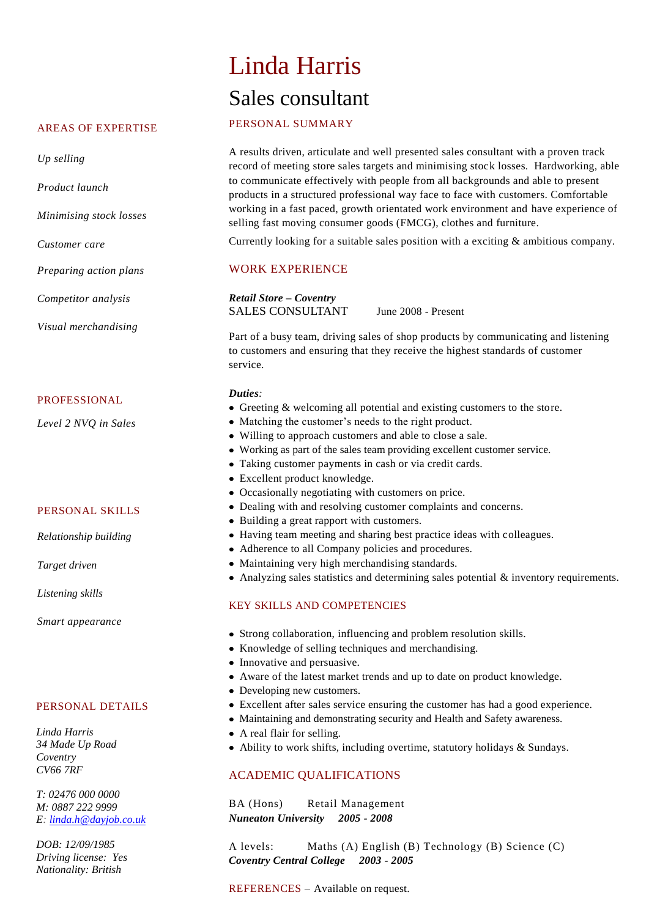#### AREAS OF EXPERTISE

*Up selling*

*Product launch* 

*Minimising stock losses* 

*Customer care*

*Preparing action plans*

*Competitor analysis*

*Visual merchandising*

#### PROFESSIONAL

*Level 2 NVQ in Sales*

## PERSONAL SKILLS

*Relationship building*

*Target driven*

*Listening skills*

*Smart appearance*

#### PERSONAL DETAILS

*Linda Harris 34 Made Up Road Coventry CV66 7RF*

*T: 02476 000 0000 M: 0887 222 9999 E: [linda.h@dayjob.co.uk](mailto:linda.h@dayjob.co.uk)*

*DOB: 12/09/1985 Driving license: Yes Nationality: British*

# Linda Harris Sales consultant

## PERSONAL SUMMARY

A results driven, articulate and well presented sales consultant with a proven track record of meeting store sales targets and minimising stock losses. Hardworking, able to communicate effectively with people from all backgrounds and able to present products in a structured professional way face to face with customers. Comfortable working in a fast paced, growth orientated work environment and have experience of selling fast moving consumer goods (FMCG), clothes and furniture.

Currently looking for a suitable sales position with a exciting & ambitious company.

## WORK EXPERIENCE

*Retail Store – Coventry* SALES CONSULTANT June 2008 - Present

Part of a busy team, driving sales of shop products by communicating and listening to customers and ensuring that they receive the highest standards of customer service.

## *Duties:*

- Greeting & welcoming all potential and existing customers to the store.
- Matching the customer's needs to the right product.
- Willing to approach customers and able to close a sale.
- Working as part of the sales team providing excellent customer service.
- Taking customer payments in cash or via credit cards.
- Excellent product knowledge.
- Occasionally negotiating with customers on price.
- Dealing with and resolving customer complaints and concerns.
- Building a great rapport with customers.
- Having team meeting and sharing best practice ideas with colleagues.
- Adherence to all Company policies and procedures.
- Maintaining very high merchandising standards.
- Analyzing sales statistics and determining sales potential & inventory requirements.

## KEY SKILLS AND COMPETENCIES

- Strong collaboration, influencing and problem resolution skills.
- Knowledge of selling techniques and merchandising.
- Innovative and persuasive.
- Aware of the latest market trends and up to date on product knowledge.
- Developing new customers.
- Excellent after sales service ensuring the customer has had a good experience.
- Maintaining and demonstrating security and Health and Safety awareness.
- A real flair for selling.
- Ability to work shifts, including overtime, statutory holidays & Sundays.

# ACADEMIC QUALIFICATIONS

BA (Hons) Retail Management *Nuneaton University 2005 - 2008* 

A levels: Maths (A) English (B) Technology (B) Science (C) *Coventry Central College 2003 - 2005*

REFERENCES – Available on request.